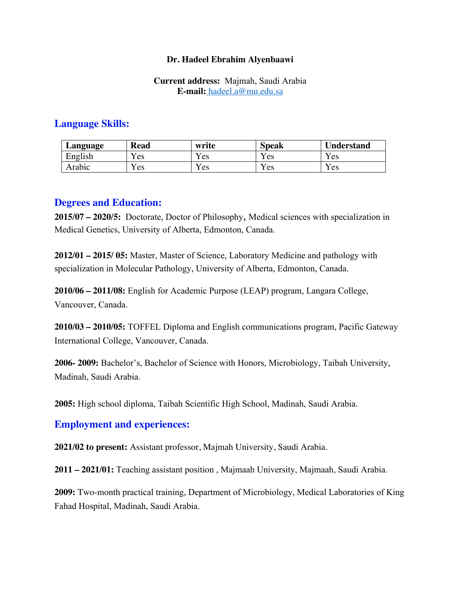### **Dr. Hadeel Ebrahim Alyenbaawi**

### **Current address:** Majmah, Saudi Arabia **E-mail:** hadeel.a@mu.edu.sa

# **Language Skills:**

| Language | <b>Read</b> | write | <b>Speak</b> | <b>Understand</b> |
|----------|-------------|-------|--------------|-------------------|
| English  | 'es         | r es  | vт<br>'es    | r es              |
| Arabic   | 'es         | es    | 'es          | Y es              |

### **Degrees and Education:**

**2015/07 – 2020/5:** Doctorate, Doctor of Philosophy, Medical sciences with specialization in Medical Genetics, University of Alberta, Edmonton, Canada.

**2012/01 – 2015/ 05:** Master, Master of Science, Laboratory Medicine and pathology with specialization in Molecular Pathology, University of Alberta, Edmonton, Canada.

**2010/06 – 2011/08:** English for Academic Purpose (LEAP) program, Langara College, Vancouver, Canada.

**2010/03 – 2010/05:** TOFFEL Diploma and English communications program, Pacific Gateway International College, Vancouver, Canada.

**2006- 2009:** Bachelor's, Bachelor of Science with Honors, Microbiology, Taibah University, Madinah, Saudi Arabia.

**2005:** High school diploma, Taibah Scientific High School, Madinah, Saudi Arabia.

## **Employment and experiences:**

**2021/02 to present:** Assistant professor, Majmah University, Saudi Arabia.

**2011 – 2021/01:** Teaching assistant position , Majmaah University, Majmaah, Saudi Arabia.

**2009:** Two-month practical training, Department of Microbiology, Medical Laboratories of King Fahad Hospital, Madinah, Saudi Arabia.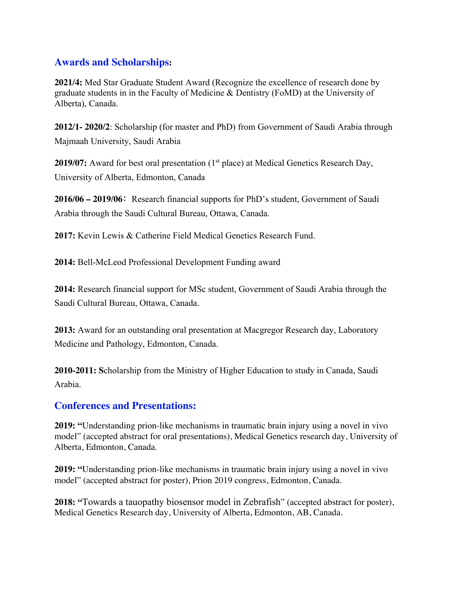# **Awards and Scholarships:**

**2021/4:** Med Star Graduate Student Award (Recognize the excellence of research done by graduate students in in the Faculty of Medicine & Dentistry (FoMD) at the University of Alberta), Canada.

**2012/1- 2020/2**: Scholarship (for master and PhD) from Government of Saudi Arabia through Majmaah University, Saudi Arabia

**2019/07:** Award for best oral presentation (1<sup>st</sup> place) at Medical Genetics Research Day, University of Alberta, Edmonton, Canada

**2016/06 – 2019/06**: Research financial supports for PhD's student, Government of Saudi Arabia through the Saudi Cultural Bureau, Ottawa, Canada.

**2017:** Kevin Lewis & Catherine Field Medical Genetics Research Fund.

**2014:** Bell-McLeod Professional Development Funding award

**2014:** Research financial support for MSc student, Government of Saudi Arabia through the Saudi Cultural Bureau, Ottawa, Canada.

**2013:** Award for an outstanding oral presentation at Macgregor Research day, Laboratory Medicine and Pathology, Edmonton, Canada.

**2010-2011: S**cholarship from the Ministry of Higher Education to study in Canada, Saudi Arabia.

## **Conferences and Presentations:**

**2019: "**Understanding prion-like mechanisms in traumatic brain injury using a novel in vivo model" (accepted abstract for oral presentations), Medical Genetics research day, University of Alberta, Edmonton, Canada.

**2019: "**Understanding prion-like mechanisms in traumatic brain injury using a novel in vivo model" (accepted abstract for poster), Prion 2019 congress, Edmonton, Canada.

**2018: "**Towards a tauopathy biosensor model in Zebrafish" (accepted abstract for poster), Medical Genetics Research day, University of Alberta, Edmonton, AB, Canada.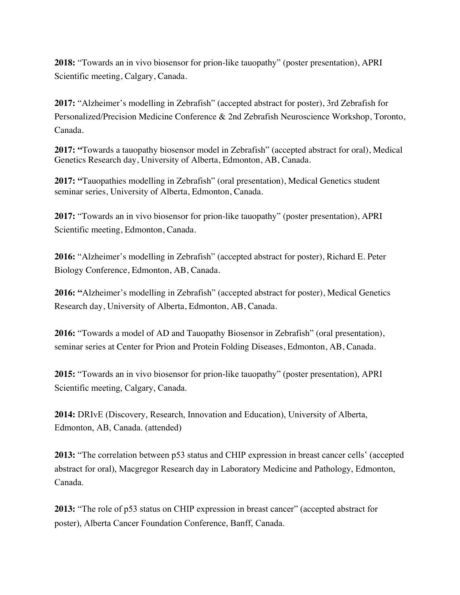**2018:** "Towards an in vivo biosensor for prion-like tauopathy" (poster presentation), APRI Scientific meeting, Calgary, Canada.

**2017:** "Alzheimer's modelling in Zebrafish" (accepted abstract for poster), 3rd Zebrafish for Personalized/Precision Medicine Conference & 2nd Zebrafish Neuroscience Workshop, Toronto, Canada.

**2017: "**Towards a tauopathy biosensor model in Zebrafish" (accepted abstract for oral), Medical Genetics Research day, University of Alberta, Edmonton, AB, Canada.

**2017: "**Tauopathies modelling in Zebrafish" (oral presentation), Medical Genetics student seminar series, University of Alberta, Edmonton, Canada.

**2017:** "Towards an in vivo biosensor for prion-like tauopathy" (poster presentation), APRI Scientific meeting, Edmonton, Canada.

**2016:** "Alzheimer's modelling in Zebrafish" (accepted abstract for poster), Richard E. Peter Biology Conference, Edmonton, AB, Canada.

**2016: "**Alzheimer's modelling in Zebrafish" (accepted abstract for poster), Medical Genetics Research day, University of Alberta, Edmonton, AB, Canada.

**2016:** "Towards a model of AD and Tauopathy Biosensor in Zebrafish" (oral presentation), seminar series at Center for Prion and Protein Folding Diseases, Edmonton, AB, Canada.

**2015:** "Towards an in vivo biosensor for prion-like tauopathy" (poster presentation), APRI Scientific meeting, Calgary, Canada.

**2014:** DRIvE (Discovery, Research, Innovation and Education), University of Alberta, Edmonton, AB, Canada. (attended)

**2013:** "The correlation between p53 status and CHIP expression in breast cancer cells' (accepted abstract for oral), Macgregor Research day in Laboratory Medicine and Pathology, Edmonton, Canada.

**2013:** "The role of p53 status on CHIP expression in breast cancer" (accepted abstract for poster), Alberta Cancer Foundation Conference, Banff, Canada.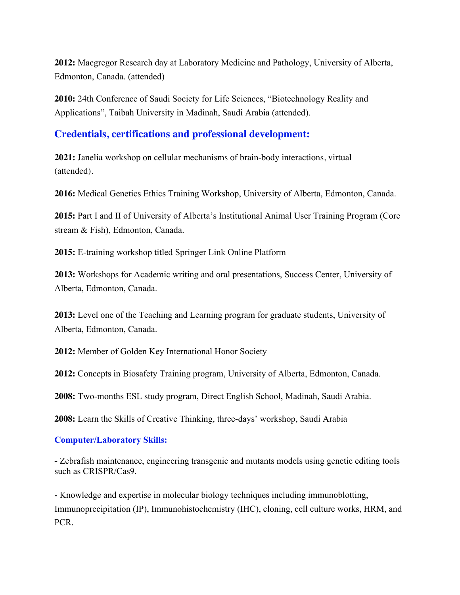**2012:** Macgregor Research day at Laboratory Medicine and Pathology, University of Alberta, Edmonton, Canada. (attended)

**2010:** 24th Conference of Saudi Society for Life Sciences, "Biotechnology Reality and Applications", Taibah University in Madinah, Saudi Arabia (attended).

## **Credentials, certifications and professional development:**

**2021:** Janelia workshop on cellular mechanisms of brain-body interactions, virtual (attended).

**2016:** Medical Genetics Ethics Training Workshop, University of Alberta, Edmonton, Canada.

**2015:** Part I and II of University of Alberta's Institutional Animal User Training Program (Core stream & Fish), Edmonton, Canada.

**2015:** E-training workshop titled Springer Link Online Platform

**2013:** Workshops for Academic writing and oral presentations, Success Center, University of Alberta, Edmonton, Canada.

**2013:** Level one of the Teaching and Learning program for graduate students, University of Alberta, Edmonton, Canada.

**2012:** Member of Golden Key International Honor Society

**2012:** Concepts in Biosafety Training program, University of Alberta, Edmonton, Canada.

**2008:** Two-months ESL study program, Direct English School, Madinah, Saudi Arabia.

**2008:** Learn the Skills of Creative Thinking, three-days' workshop, Saudi Arabia

## **Computer/Laboratory Skills:**

**-** Zebrafish maintenance, engineering transgenic and mutants models using genetic editing tools such as CRISPR/Cas9.

**-** Knowledge and expertise in molecular biology techniques including immunoblotting, Immunoprecipitation (IP), Immunohistochemistry (IHC), cloning, cell culture works, HRM, and PCR.